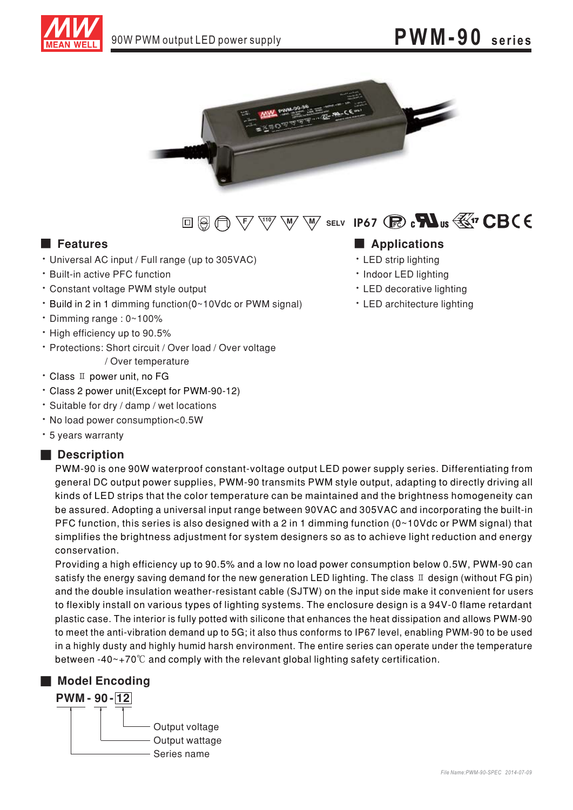

## PWM-90 series



W W SELV IP67 (P) CH US WT CBCE 

### **E** Features

- Universal AC input / Full range (up to 305VAC)
- · Built-in active PFC function
- · Constant voltage PWM style output
- Build in 2 in 1 dimming function(0~10Vdc or PWM signal)
- Dimming range: 0~100%
- High efficiency up to 90.5%
- \* Protections: Short circuit / Over load / Over voltage / Over temperature
- \* Class II power unit, no FG
- \* Class 2 power unit(Except for PWM-90-12)
- · Suitable for dry / damp / wet locations
- . No load power consumption<0.5W
- \* 5 years warranty

### **Description**

PWM-90 is one 90W waterproof constant-voltage output LED power supply series. Differentiating from general DC output power supplies, PWM-90 transmits PWM style output, adapting to directly driving all kinds of LED strips that the color temperature can be maintained and the brightness homogeneity can be assured. Adopting a universal input range between 90VAC and 305VAC and incorporating the built-in PFC function, this series is also designed with a 2 in 1 dimming function ( $0 \sim 10$ Vdc or PWM signal) that simplifies the brightness adjustment for system designers so as to achieve light reduction and energy conservation.

Providing a high efficiency up to 90.5% and a low no load power consumption below 0.5W, PWM-90 can satisfy the energy saving demand for the new generation LED lighting. The class  $\mathbb I$  design (without FG pin) and the double insulation weather-resistant cable (SJTW) on the input side make it convenient for users to flexibly install on various types of lighting systems. The enclosure design is a 94V-0 flame retardant plastic case. The interior is fully potted with silicone that enhances the heat dissipation and allows PWM-90 to meet the anti-vibration demand up to 5G; it also thus conforms to IP67 level, enabling PWM-90 to be used in a highly dusty and highly humid harsh environment. The entire series can operate under the temperature between -40 $\sim$ +70 $\degree$ C and comply with the relevant global lighting safety certification.

### **Model Encoding**



## Applications

- · LED strip lighting
- · Indoor LED lighting
- · LED decorative lighting
- LED architecture lighting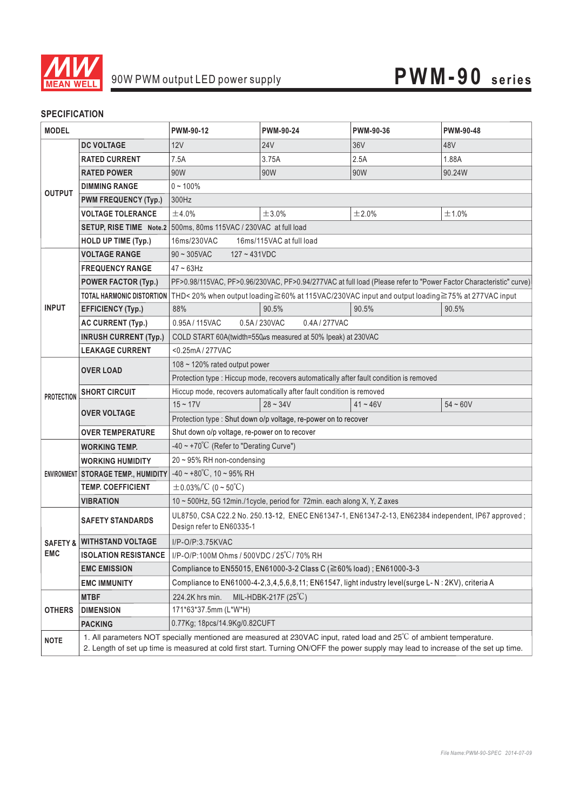

## **SPECIFICATION**

| <b>MODEL</b>      |                                                                                             | PWM-90-12                                                                                                                                                                                                                                                 | PWM-90-24       | PWM-90-36  | PWM-90-48  |
|-------------------|---------------------------------------------------------------------------------------------|-----------------------------------------------------------------------------------------------------------------------------------------------------------------------------------------------------------------------------------------------------------|-----------------|------------|------------|
| <b>OUTPUT</b>     | <b>DC VOLTAGE</b>                                                                           | 12V                                                                                                                                                                                                                                                       | 24 <sub>V</sub> | 36V        | 48V        |
|                   | <b>RATED CURRENT</b>                                                                        | 7.5A                                                                                                                                                                                                                                                      | 3.75A           | 2.5A       | 1.88A      |
|                   | <b>RATED POWER</b>                                                                          | 90W                                                                                                                                                                                                                                                       | 90W             | 90W        | 90.24W     |
|                   | <b>DIMMING RANGE</b>                                                                        | $0 - 100\%$                                                                                                                                                                                                                                               |                 |            |            |
|                   | <b>PWM FREQUENCY (Typ.)</b>                                                                 | 300Hz                                                                                                                                                                                                                                                     |                 |            |            |
|                   | <b>VOLTAGE TOLERANCE</b>                                                                    | ±4.0%                                                                                                                                                                                                                                                     | ±3.0%           | ±2.0%      | ±1.0%      |
|                   |                                                                                             | SETUP, RISE TIME Note.2 500ms, 80ms 115VAC / 230VAC at full load                                                                                                                                                                                          |                 |            |            |
|                   | <b>HOLD UP TIME (Typ.)</b>                                                                  | 16ms/230VAC<br>16ms/115VAC at full load                                                                                                                                                                                                                   |                 |            |            |
| <b>INPUT</b>      | <b>VOLTAGE RANGE</b>                                                                        | $90 - 305$ VAC<br>$127 - 431VDC$                                                                                                                                                                                                                          |                 |            |            |
|                   | <b>FREQUENCY RANGE</b>                                                                      | $47 - 63$ Hz                                                                                                                                                                                                                                              |                 |            |            |
|                   | <b>POWER FACTOR (Typ.)</b>                                                                  | PF>0.98/115VAC, PF>0.96/230VAC, PF>0.94/277VAC at full load (Please refer to "Power Factor Characteristic" curve)                                                                                                                                         |                 |            |            |
|                   |                                                                                             | TOTAL HARMONIC DISTORTION THD< 20% when output loading≧60% at 115VAC/230VAC input and output loading≧75% at 277VAC input                                                                                                                                  |                 |            |            |
|                   | <b>EFFICIENCY (Typ.)</b>                                                                    | 88%                                                                                                                                                                                                                                                       | 90.5%           | 90.5%      | 90.5%      |
|                   | <b>AC CURRENT (Typ.)</b>                                                                    | 0.95A / 115VAC<br>0.5A/230VAC<br>0.4A / 277VAC                                                                                                                                                                                                            |                 |            |            |
|                   | <b>INRUSH CURRENT (Typ.)</b>                                                                | COLD START 60A(twidth=550 $\mu$ s measured at 50% Ipeak) at 230VAC                                                                                                                                                                                        |                 |            |            |
|                   | <b>LEAKAGE CURRENT</b>                                                                      | <0.25mA / 277VAC                                                                                                                                                                                                                                          |                 |            |            |
| <b>PROTECTION</b> | <b>OVER LOAD</b>                                                                            | 108 ~ 120% rated output power                                                                                                                                                                                                                             |                 |            |            |
|                   |                                                                                             | Protection type : Hiccup mode, recovers automatically after fault condition is removed                                                                                                                                                                    |                 |            |            |
|                   | <b>SHORT CIRCUIT</b>                                                                        | Hiccup mode, recovers automatically after fault condition is removed                                                                                                                                                                                      |                 |            |            |
|                   | <b>OVER VOLTAGE</b>                                                                         | $15 - 17V$                                                                                                                                                                                                                                                | $28 - 34V$      | $41 - 46V$ | $54 - 60V$ |
|                   |                                                                                             | Protection type : Shut down o/p voltage, re-power on to recover                                                                                                                                                                                           |                 |            |            |
|                   | <b>OVER TEMPERATURE</b>                                                                     | Shut down o/p voltage, re-power on to recover                                                                                                                                                                                                             |                 |            |            |
|                   | WORKING TEMP.                                                                               | $-40 \sim +70^{\circ}$ C (Refer to "Derating Curve")                                                                                                                                                                                                      |                 |            |            |
|                   | <b>WORKING HUMIDITY</b>                                                                     | 20~95% RH non-condensing                                                                                                                                                                                                                                  |                 |            |            |
|                   | ENVIRONMENT STORAGE TEMP., HUMIDITY                                                         | $-40 \sim +80^{\circ}$ C, 10 ~ 95% RH                                                                                                                                                                                                                     |                 |            |            |
|                   | <b>TEMP. COEFFICIENT</b>                                                                    | $\pm$ 0.03%/°C (0 ~ 50°C)                                                                                                                                                                                                                                 |                 |            |            |
|                   | 10 ~ 500Hz, 5G 12min./1cycle, period for 72min. each along X, Y, Z axes<br><b>VIBRATION</b> |                                                                                                                                                                                                                                                           |                 |            |            |
| <b>EMC</b>        | <b>SAFETY STANDARDS</b>                                                                     | UL8750, CSA C22.2 No. 250.13-12, ENEC EN61347-1, EN61347-2-13, EN62384 independent, IP67 approved;<br>Design refer to EN60335-1                                                                                                                           |                 |            |            |
|                   | <b>SAFETY &amp; WITHSTAND VOLTAGE</b>                                                       | I/P-O/P:3.75KVAC                                                                                                                                                                                                                                          |                 |            |            |
|                   |                                                                                             | ISOLATION RESISTANCE   I/P-O/P:100M Ohms / 500VDC / 25°C/70% RH                                                                                                                                                                                           |                 |            |            |
|                   | <b>EMC EMISSION</b>                                                                         | Compliance to EN55015, EN61000-3-2 Class C (≧60% load); EN61000-3-3                                                                                                                                                                                       |                 |            |            |
|                   | <b>EMC IMMUNITY</b>                                                                         | Compliance to EN61000-4-2,3,4,5,6,8,11; EN61547, light industry level(surge L-N: 2KV), criteria A                                                                                                                                                         |                 |            |            |
| <b>OTHERS</b>     | <b>MTBF</b>                                                                                 | MIL-HDBK-217F $(25^{\circ}\mathrm{C})$<br>224.2K hrs min.                                                                                                                                                                                                 |                 |            |            |
|                   | <b>DIMENSION</b>                                                                            | 171*63*37.5mm (L*W*H)                                                                                                                                                                                                                                     |                 |            |            |
|                   | <b>PACKING</b>                                                                              | 0.77Kg; 18pcs/14.9Kg/0.82CUFT                                                                                                                                                                                                                             |                 |            |            |
| <b>NOTE</b>       |                                                                                             | 1. All parameters NOT specially mentioned are measured at 230VAC input, rated load and 25°C of ambient temperature.<br>2. Length of set up time is measured at cold first start. Turning ON/OFF the power supply may lead to increase of the set up time. |                 |            |            |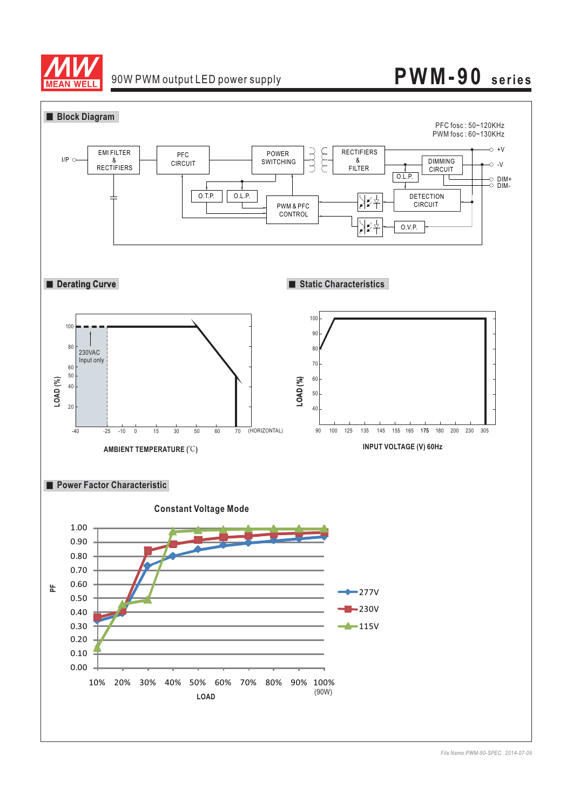

# 90W PWM output LED power supply **PWM-90 series**

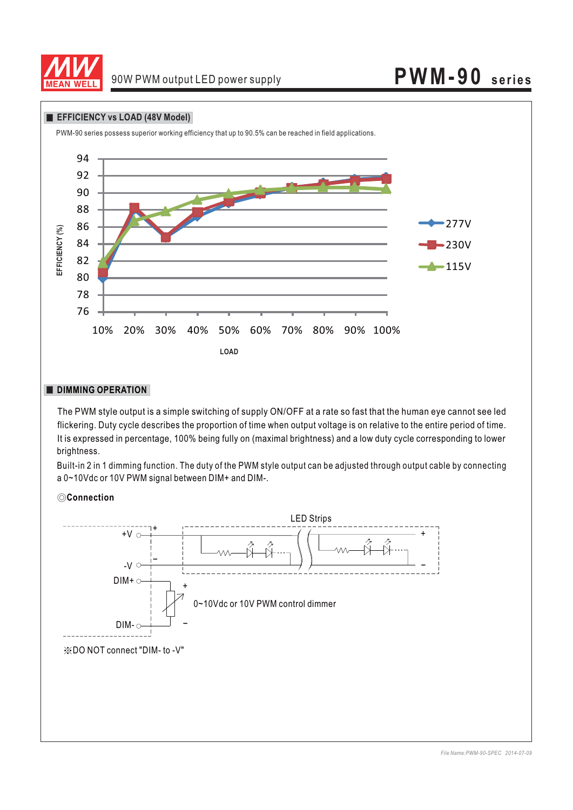

## 90W PWM output LED power supply **PWM-90 series**





### **DIMMING OPERATION**

The PWM style output is a simple switching of supply ON/OFF at a rate so fast that the human eye cannot see led flickering. Duty cycle describes the proportion of time when output voltage is on relative to the entire period of time. It is expressed in percentage, 100% being fully on (maximal brightness) and a low duty cycle corresponding to lower brightness.

Built-in 2 in 1 dimming function. The duty of the PWM style output can be adjusted through output cable by connecting a 0~10Vdc or 10V PWM signal between DIM+ and DIM-.

#### ◎**Connection**

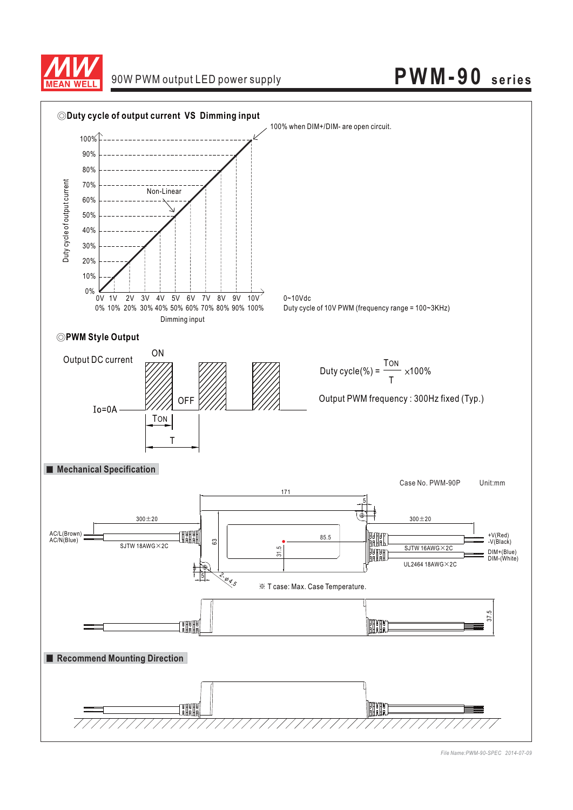

# 90W PWM output LED power supply **PWM-90 series**